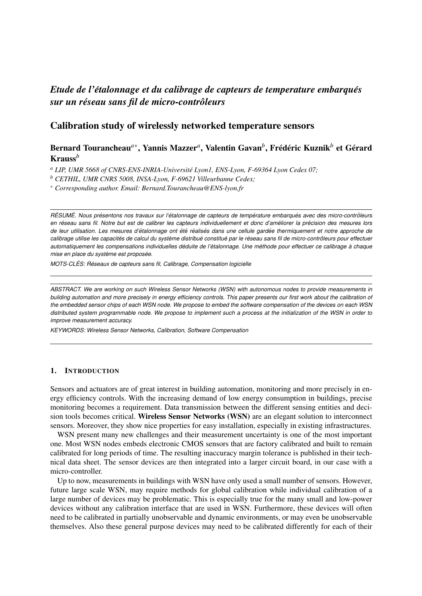# *Etude de l'étalonnage et du calibrage de capteurs de temperature embarqués sur un reseau sans fil de micro-contr ´ oleurs ˆ*

# Calibration study of wirelessly networked temperature sensors

# Bernard Tourancheau<sup>a∗</sup>, Yannis Mazzer<sup>a</sup>, Valentin Gavan<sup>b</sup>, Frédéric Kuznik<sup>b</sup> et Gérard Krauss*<sup>b</sup>*

*<sup>a</sup> LIP, UMR 5668 of CNRS-ENS-INRIA-Universite Lyon1, ENS-Lyon, F-69364 Lyon Cedex 07; ´*

*<sup>b</sup> CETHIL, UMR CNRS 5008, INSA-Lyon, F-69621 Villeurbanne Cedex;*

<sup>∗</sup> *Corresponding author. Email: Bernard.Tourancheau@ENS-lyon.fr*

RÉSUMÉ. Nous présentons nos travaux sur l'étalonnage de capteurs de température embarqués avec des micro-contrôleurs *en reseau sans fil. Notre but est de calibrer les capteurs individuellement et donc d'am ´ eliorer la pr ´ ecision des mesures lors ´ de leur utilisation. Les mesures d'etalonnage ont ´ et´ e r ´ ealis ´ es dans une cellule gard ´ ee thermiquement et notre approche de ´* calibrage utilise les capacités de calcul du système distribué constitué par le réseau sans fil de micro-contrôleurs pour effectuer *automatiquement les compensations individuelles deduite de l' ´ etalonnage. Une m ´ ethode pour effectuer ce calibrage ´ a chaque ` mise en place du système est proposée.* 

*MOTS-CLES: R ´ eseaux de capteurs sans fil, Calibrage, Compensation logicielle ´*

*ABSTRACT. We are working on such Wireless Sensor Networks (WSN) with autonomous nodes to provide measurements in building automation and more precisely in energy efficiency controls. This paper presents our first work about the calibration of the embedded sensor chips of each WSN node. We propose to embed the software compensation of the devices on each WSN distributed system programmable node. We propose to implement such a process at the initialization of the WSN in order to improve measurement accuracy.*

*KEYWORDS: Wireless Sensor Networks, Calibration, Software Compensation*

## 1. INTRODUCTION

Sensors and actuators are of great interest in building automation, monitoring and more precisely in energy efficiency controls. With the increasing demand of low energy consumption in buildings, precise monitoring becomes a requirement. Data transmission between the different sensing entities and decision tools becomes critical. Wireless Sensor Networks (WSN) are an elegant solution to interconnect sensors. Moreover, they show nice properties for easy installation, especially in existing infrastructures.

WSN present many new challenges and their measurement uncertainty is one of the most important one. Most WSN nodes embeds electronic CMOS sensors that are factory calibrated and built to remain calibrated for long periods of time. The resulting inaccuracy margin tolerance is published in their technical data sheet. The sensor devices are then integrated into a larger circuit board, in our case with a micro-controller.

Up to now, measurements in buildings with WSN have only used a small number of sensors. However, future large scale WSN, may require methods for global calibration while individual calibration of a large number of devices may be problematic. This is especially true for the many small and low-power devices without any calibration interface that are used in WSN. Furthermore, these devices will often need to be calibrated in partially unobservable and dynamic environments, or may even be unobservable themselves. Also these general purpose devices may need to be calibrated differently for each of their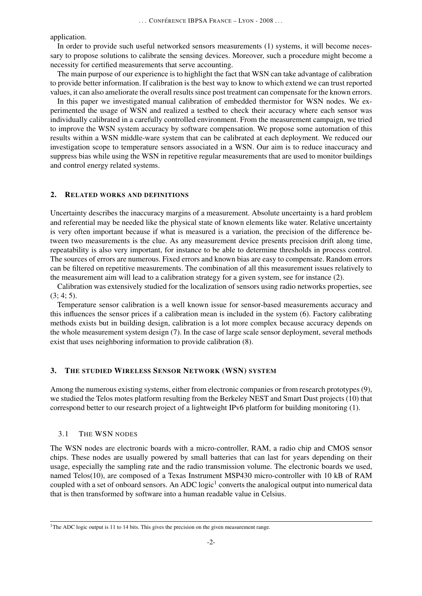application.

In order to provide such useful networked sensors measurements (1) systems, it will become necessary to propose solutions to calibrate the sensing devices. Moreover, such a procedure might become a necessity for certified measurements that serve accounting.

The main purpose of our experience is to highlight the fact that WSN can take advantage of calibration to provide better information. If calibration is the best way to know to which extend we can trust reported values, it can also ameliorate the overall results since post treatment can compensate for the known errors.

In this paper we investigated manual calibration of embedded thermistor for WSN nodes. We experimented the usage of WSN and realized a testbed to check their accuracy where each sensor was individually calibrated in a carefully controlled environment. From the measurement campaign, we tried to improve the WSN system accuracy by software compensation. We propose some automation of this results within a WSN middle-ware system that can be calibrated at each deployment. We reduced our investigation scope to temperature sensors associated in a WSN. Our aim is to reduce inaccuracy and suppress bias while using the WSN in repetitive regular measurements that are used to monitor buildings and control energy related systems.

#### 2. RELATED WORKS AND DEFINITIONS

Uncertainty describes the inaccuracy margins of a measurement. Absolute uncertainty is a hard problem and referential may be needed like the physical state of known elements like water. Relative uncertainty is very often important because if what is measured is a variation, the precision of the difference between two measurements is the clue. As any measurement device presents precision drift along time, repeatability is also very important, for instance to be able to determine thresholds in process control. The sources of errors are numerous. Fixed errors and known bias are easy to compensate. Random errors can be filtered on repetitive measurements. The combination of all this measurement issues relatively to the measurement aim will lead to a calibration strategy for a given system, see for instance (2).

Calibration was extensively studied for the localization of sensors using radio networks properties, see  $(3; 4; 5)$ .

Temperature sensor calibration is a well known issue for sensor-based measurements accuracy and this influences the sensor prices if a calibration mean is included in the system (6). Factory calibrating methods exists but in building design, calibration is a lot more complex because accuracy depends on the whole measurement system design (7). In the case of large scale sensor deployment, several methods exist that uses neighboring information to provide calibration (8).

#### 3. THE STUDIED WIRELESS SENSOR NETWORK (WSN) SYSTEM

Among the numerous existing systems, either from electronic companies or from research prototypes (9), we studied the Telos motes platform resulting from the Berkeley NEST and Smart Dust projects (10) that correspond better to our research project of a lightweight IPv6 platform for building monitoring (1).

#### 3.1 THE WSN NODES

The WSN nodes are electronic boards with a micro-controller, RAM, a radio chip and CMOS sensor chips. These nodes are usually powered by small batteries that can last for years depending on their usage, especially the sampling rate and the radio transmission volume. The electronic boards we used, named Telos(10), are composed of a Texas Instrument MSP430 micro-controller with 10 kB of RAM coupled with a set of onboard sensors. An ADC logic<sup>1</sup> converts the analogical output into numerical data that is then transformed by software into a human readable value in Celsius.

<sup>&</sup>lt;sup>1</sup>The ADC logic output is 11 to 14 bits. This gives the precision on the given measurement range.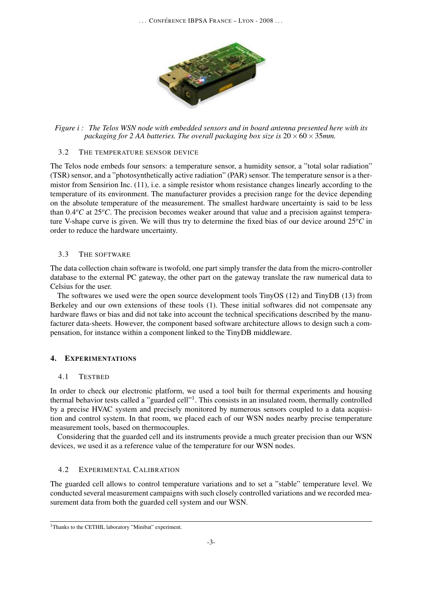

*Figure i : The Telos WSN node with embedded sensors and in board antenna presented here with its packaging for 2 AA batteries. The overall packaging box size is*  $20 \times 60 \times 35$ *mm.* 

## 3.2 THE TEMPERATURE SENSOR DEVICE

The Telos node embeds four sensors: a temperature sensor, a humidity sensor, a "total solar radiation" (TSR) sensor, and a "photosynthetically active radiation" (PAR) sensor. The temperature sensor is a thermistor from Sensirion Inc. (11), i.e. a simple resistor whom resistance changes linearly according to the temperature of its environment. The manufacturer provides a precision range for the device depending on the absolute temperature of the measurement. The smallest hardware uncertainty is said to be less than 0.4°C at 25°C. The precision becomes weaker around that value and a precision against temperature V-shape curve is given. We will thus try to determine the fixed bias of our device around 25*<sup>o</sup>C* in order to reduce the hardware uncertainty.

# 3.3 THE SOFTWARE

The data collection chain software is twofold, one part simply transfer the data from the micro-controller database to the external PC gateway, the other part on the gateway translate the raw numerical data to Celsius for the user.

The softwares we used were the open source development tools TinyOS (12) and TinyDB (13) from Berkeley and our own extensions of these tools (1). These initial softwares did not compensate any hardware flaws or bias and did not take into account the technical specifications described by the manufacturer data-sheets. However, the component based software architecture allows to design such a compensation, for instance within a component linked to the TinyDB middleware.

# 4. EXPERIMENTATIONS

# 4.1 TESTBED

In order to check our electronic platform, we used a tool built for thermal experiments and housing thermal behavior tests called a "guarded cell"<sup>1</sup>. This consists in an insulated room, thermally controlled by a precise HVAC system and precisely monitored by numerous sensors coupled to a data acquisition and control system. In that room, we placed each of our WSN nodes nearby precise temperature measurement tools, based on thermocouples.

Considering that the guarded cell and its instruments provide a much greater precision than our WSN devices, we used it as a reference value of the temperature for our WSN nodes.

# 4.2 EXPERIMENTAL CALIBRATION

The guarded cell allows to control temperature variations and to set a "stable" temperature level. We conducted several measurement campaigns with such closely controlled variations and we recorded measurement data from both the guarded cell system and our WSN.

<sup>&</sup>lt;sup>1</sup>Thanks to the CETHIL laboratory "Minibat" experiment.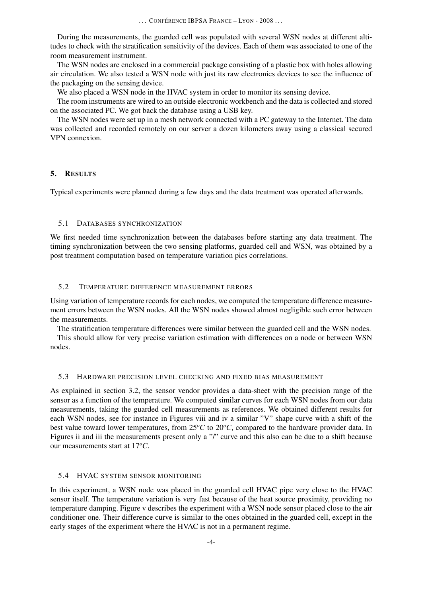... CONFÉRENCE IBPSA FRANCE – LYON - 2008 ...

During the measurements, the guarded cell was populated with several WSN nodes at different altitudes to check with the stratification sensitivity of the devices. Each of them was associated to one of the room measurement instrument.

The WSN nodes are enclosed in a commercial package consisting of a plastic box with holes allowing air circulation. We also tested a WSN node with just its raw electronics devices to see the influence of the packaging on the sensing device.

We also placed a WSN node in the HVAC system in order to monitor its sensing device.

The room instruments are wired to an outside electronic workbench and the data is collected and stored on the associated PC. We got back the database using a USB key.

The WSN nodes were set up in a mesh network connected with a PC gateway to the Internet. The data was collected and recorded remotely on our server a dozen kilometers away using a classical secured VPN connexion.

## 5. RESULTS

Typical experiments were planned during a few days and the data treatment was operated afterwards.

## 5.1 DATABASES SYNCHRONIZATION

We first needed time synchronization between the databases before starting any data treatment. The timing synchronization between the two sensing platforms, guarded cell and WSN, was obtained by a post treatment computation based on temperature variation pics correlations.

## 5.2 TEMPERATURE DIFFERENCE MEASUREMENT ERRORS

Using variation of temperature records for each nodes, we computed the temperature difference measurement errors between the WSN nodes. All the WSN nodes showed almost negligible such error between the measurements.

The stratification temperature differences were similar between the guarded cell and the WSN nodes.

This should allow for very precise variation estimation with differences on a node or between WSN nodes.

#### 5.3 HARDWARE PRECISION LEVEL CHECKING AND FIXED BIAS MEASUREMENT

As explained in section 3.2, the sensor vendor provides a data-sheet with the precision range of the sensor as a function of the temperature. We computed similar curves for each WSN nodes from our data measurements, taking the guarded cell measurements as references. We obtained different results for each WSN nodes, see for instance in Figures viii and iv a similar "V" shape curve with a shift of the best value toward lower temperatures, from 25*<sup>o</sup>C* to 20*<sup>o</sup>C*, compared to the hardware provider data. In Figures ii and iii the measurements present only a "/" curve and this also can be due to a shift because our measurements start at 17*<sup>o</sup>C*.

# 5.4 HVAC SYSTEM SENSOR MONITORING

In this experiment, a WSN node was placed in the guarded cell HVAC pipe very close to the HVAC sensor itself. The temperature variation is very fast because of the heat source proximity, providing no temperature damping. Figure v describes the experiment with a WSN node sensor placed close to the air conditioner one. Their difference curve is similar to the ones obtained in the guarded cell, except in the early stages of the experiment where the HVAC is not in a permanent regime.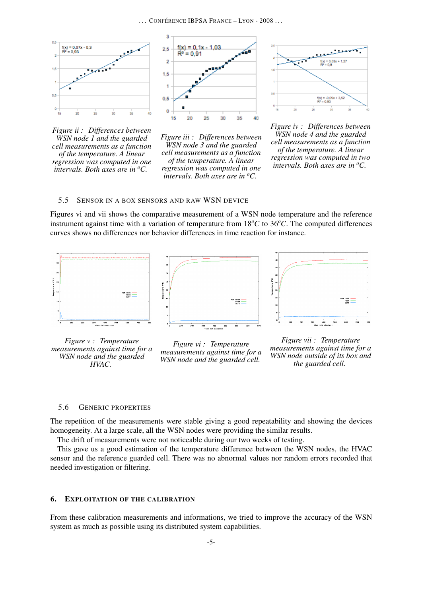

*Figure ii : Differences between WSN node 1 and the guarded cell measurements as a function of the temperature. A linear regression was computed in one intervals. Both axes are in <sup>o</sup>C.*



*Figure iii : Differences between WSN node 3 and the guarded cell measurements as a function of the temperature. A linear regression was computed in one intervals. Both axes are in <sup>o</sup>C.*

فليستعيض  $f(x) = 0.03x + 1.27$ <br> $B<sup>2</sup> = 0.8$  $\mathbf{u}$ O.  $f(x) = -0.09x + 3.52$ <br>R<sup>k</sup> = 0.93 0,93

*Figure iv : Differences between WSN node 4 and the guarded cell measurements as a function of the temperature. A linear regression was computed in two intervals. Both axes are in <sup>o</sup>C.*

#### 5.5 SENSOR IN A BOX SENSORS AND RAW WSN DEVICE

Figures vi and vii shows the comparative measurement of a WSN node temperature and the reference instrument against time with a variation of temperature from  $18\degree C$  to  $36\degree C$ . The computed differences curves shows no differences nor behavior differences in time reaction for instance.



*Figure v : Temperature measurements against time for a WSN node and the guarded HVAC.*





#### 5.6 GENERIC PROPERTIES

The repetition of the measurements were stable giving a good repeatability and showing the devices homogeneity. At a large scale, all the WSN nodes were providing the similar results.

The drift of measurements were not noticeable during our two weeks of testing.

This gave us a good estimation of the temperature difference between the WSN nodes, the HVAC sensor and the reference guarded cell. There was no abnormal values nor random errors recorded that needed investigation or filtering.

#### 6. EXPLOITATION OF THE CALIBRATION

From these calibration measurements and informations, we tried to improve the accuracy of the WSN system as much as possible using its distributed system capabilities.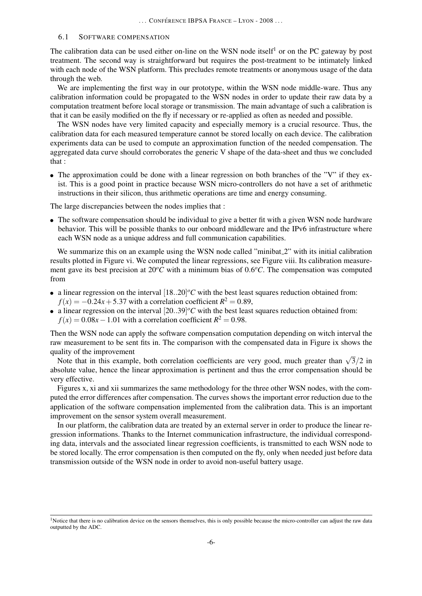#### 6.1 SOFTWARE COMPENSATION

The calibration data can be used either on-line on the WSN node itself<sup>1</sup> or on the PC gateway by post treatment. The second way is straightforward but requires the post-treatment to be intimately linked with each node of the WSN platform. This precludes remote treatments or anonymous usage of the data through the web.

We are implementing the first way in our prototype, within the WSN node middle-ware. Thus any calibration information could be propagated to the WSN nodes in order to update their raw data by a computation treatment before local storage or transmission. The main advantage of such a calibration is that it can be easily modified on the fly if necessary or re-applied as often as needed and possible.

The WSN nodes have very limited capacity and especially memory is a crucial resource. Thus, the calibration data for each measured temperature cannot be stored locally on each device. The calibration experiments data can be used to compute an approximation function of the needed compensation. The aggregated data curve should corroborates the generic V shape of the data-sheet and thus we concluded that :

• The approximation could be done with a linear regression on both branches of the "V" if they exist. This is a good point in practice because WSN micro-controllers do not have a set of arithmetic instructions in their silicon, thus arithmetic operations are time and energy consuming.

The large discrepancies between the nodes implies that :

• The software compensation should be individual to give a better fit with a given WSN node hardware behavior. This will be possible thanks to our onboard middleware and the IPv6 infrastructure where each WSN node as a unique address and full communication capabilities.

We summarize this on an example using the WSN node called "minibat<sub>-2</sub>" with its initial calibration results plotted in Figure vi. We computed the linear regressions, see Figure viii. Its calibration measurement gave its best precision at  $20^{\circ}$ C with a minimum bias of  $0.6^{\circ}$ C. The compensation was computed from

- a linear regression on the interval  $[18..20]^{\circ}C$  with the best least squares reduction obtained from:  $f(x) = -0.24x + 5.37$  with a correlation coefficient  $R^2 = 0.89$ ,
- a linear regression on the interval  $[20..39]^{\circ}C$  with the best least squares reduction obtained from:  $f(x) = 0.08x - 1.01$  with a correlation coefficient  $R^2 = 0.98$ .

Then the WSN node can apply the software compensation computation depending on witch interval the raw measurement to be sent fits in. The comparison with the compensated data in Figure ix shows the quality of the improvement

ality of the improvement<br>Note that in this example, both correlation coefficients are very good, much greater than  $\sqrt{3}/2$  in absolute value, hence the linear approximation is pertinent and thus the error compensation should be very effective.

Figures x, xi and xii summarizes the same methodology for the three other WSN nodes, with the computed the error differences after compensation. The curves shows the important error reduction due to the application of the software compensation implemented from the calibration data. This is an important improvement on the sensor system overall measurement.

In our platform, the calibration data are treated by an external server in order to produce the linear regression informations. Thanks to the Internet communication infrastructure, the individual corresponding data, intervals and the associated linear regression coefficients, is transmitted to each WSN node to be stored locally. The error compensation is then computed on the fly, only when needed just before data transmission outside of the WSN node in order to avoid non-useful battery usage.

<sup>&</sup>lt;sup>1</sup>Notice that there is no calibration device on the sensors themselves, this is only possible because the micro-controller can adjust the raw data outputted by the ADC.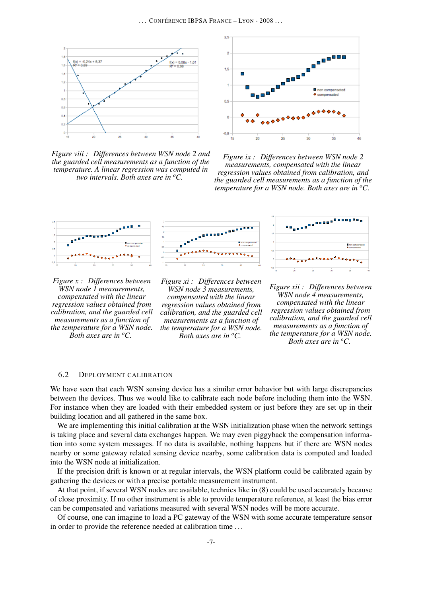

*Figure viii : Differences between WSN node 2 and the guarded cell measurements as a function of the temperature. A linear regression was computed in two intervals. Both axes are in <sup>o</sup>C.*



*Figure ix : Differences between WSN node 2 measurements, compensated with the linear regression values obtained from calibration, and the guarded cell measurements as a function of the temperature for a WSN node. Both axes are in <sup>o</sup>C.*





*Figure xi : Differences between WSN node 3 measurements, compensated with the linear regression values obtained from calibration, and the guarded cell measurements as a function of the temperature for a WSN node. Both axes are in <sup>o</sup>C.*



*Figure xii : Differences between WSN node 4 measurements, compensated with the linear regression values obtained from calibration, and the guarded cell measurements as a function of the temperature for a WSN node. Both axes are in <sup>o</sup>C.*

#### 6.2 DEPLOYMENT CALIBRATION

We have seen that each WSN sensing device has a similar error behavior but with large discrepancies between the devices. Thus we would like to calibrate each node before including them into the WSN. For instance when they are loaded with their embedded system or just before they are set up in their building location and all gathered in the same box.

We are implementing this initial calibration at the WSN initialization phase when the network settings is taking place and several data exchanges happen. We may even piggyback the compensation information into some system messages. If no data is available, nothing happens but if there are WSN nodes nearby or some gateway related sensing device nearby, some calibration data is computed and loaded into the WSN node at initialization.

If the precision drift is known or at regular intervals, the WSN platform could be calibrated again by gathering the devices or with a precise portable measurement instrument.

At that point, if several WSN nodes are available, technics like in (8) could be used accurately because of close proximity. If no other instrument is able to provide temperature reference, at least the bias error can be compensated and variations measured with several WSN nodes will be more accurate.

Of course, one can imagine to load a PC gateway of the WSN with some accurate temperature sensor in order to provide the reference needed at calibration time . . .